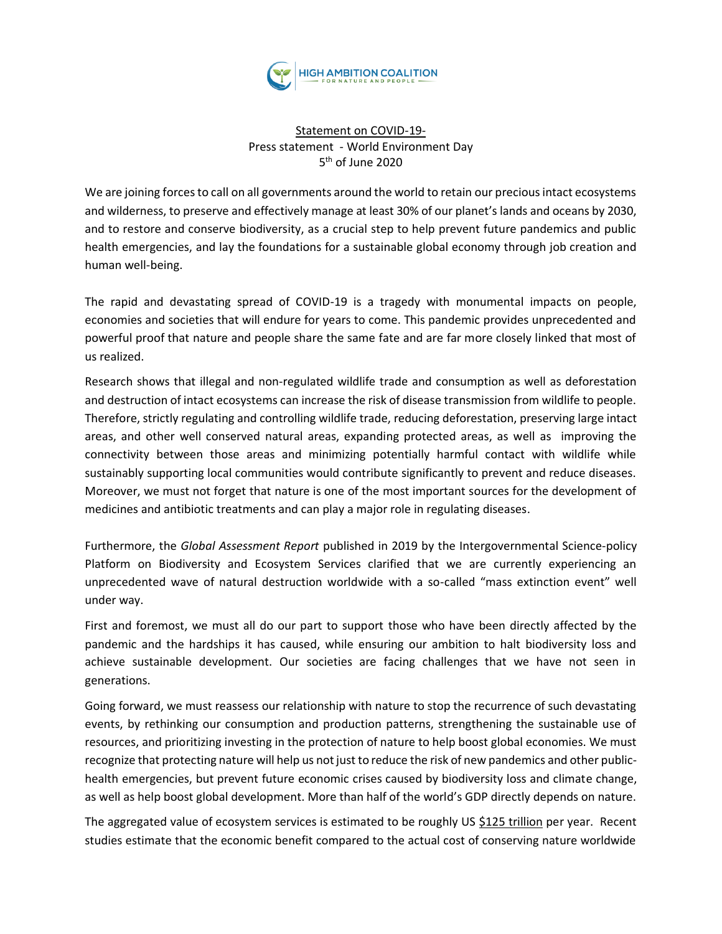

## Statement on COVID-19- Press statement - World Environment Day 5 th of June 2020

We are joining forces to call on all governments around the world to retain our precious intact ecosystems and wilderness, to preserve and effectively manage at least 30% of our planet's lands and oceans by 2030, and to restore and conserve biodiversity, as a crucial step to help prevent future pandemics and public health emergencies, and lay the foundations for a sustainable global economy through job creation and human well-being.

The rapid and devastating spread of COVID-19 is a tragedy with monumental impacts on people, economies and societies that will endure for years to come. This pandemic provides unprecedented and powerful proof that nature and people share the same fate and are far more closely linked that most of us realized.

Research shows that illegal and non-regulated wildlife trade and consumption as well as deforestation and destruction of intact ecosystems can increase the risk of disease transmission from wildlife to people. Therefore, strictly regulating and controlling wildlife trade, reducing deforestation[,](https://www.nature.com/articles/news.2010.644) [preserving large intact](https://www.nature.com/articles/news.2010.644)  [areas,](https://www.nature.com/articles/news.2010.644) and other well conserved natural areas, expanding protected areas, as well as improving the connectivity between those areas and minimizing potentially harmful contact with wildlife while sustainably supporting local communities would contribute significantly to prevent and reduce diseases. Moreover, we must not forget that nature is one of the most important sources for the development of medicines and antibiotic treatments and can play a major role in regulating diseases.

Furthermore, the *Global Assessment Report* published in 2019 by the Intergovernmental Science-policy Platform on Biodiversity and Ecosystem Services clarified that we are currently experiencing an unprecedented wave of natural destruction worldwide with a so-called "mass extinction event" well under way.

First and foremost, we must all do our part to support those who have been directly affected by the pandemic and the hardships it has caused, while ensuring our ambition to halt biodiversity loss and achieve sustainable development. Our societies are facing challenges that we have not seen in generations.

Going forward, we must reassess our relationship with nature to stop the recurrence of such devastating events, by rethinking our consumption and production patterns, strengthening the sustainable use of resources, and prioritizing investing in the protection of nature to help boost global economies. We must recognize that protecting nature will help us not just to reduce the risk of new pandemics and other publichealth emergencies, but prevent future economic crises caused by biodiversity loss and climate change, as well as help boost global development. More than half of the world's GDP directly depends on nature.

The aggregated value of ecosystem services is estimated to be roughly US [\\$125 trillion](https://www.sciencedirect.com/science/article/abs/pii/S0959378014000685) per year. Recent studies estimate that the economic benefit compared to the actual cost of conserving nature worldwide